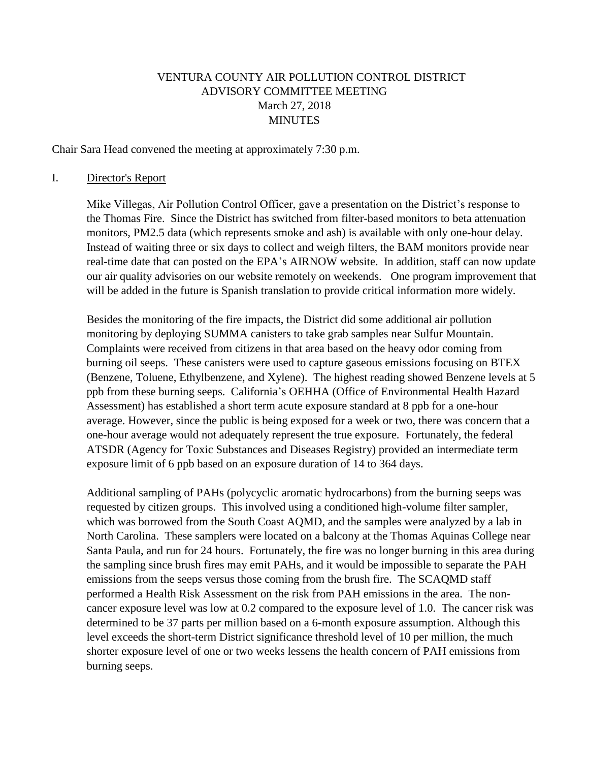# VENTURA COUNTY AIR POLLUTION CONTROL DISTRICT ADVISORY COMMITTEE MEETING March 27, 2018 MINUTES

Chair Sara Head convened the meeting at approximately 7:30 p.m.

#### I. Director's Report

Mike Villegas, Air Pollution Control Officer, gave a presentation on the District's response to the Thomas Fire. Since the District has switched from filter-based monitors to beta attenuation monitors, PM2.5 data (which represents smoke and ash) is available with only one-hour delay. Instead of waiting three or six days to collect and weigh filters, the BAM monitors provide near real-time date that can posted on the EPA's AIRNOW website. In addition, staff can now update our air quality advisories on our website remotely on weekends. One program improvement that will be added in the future is Spanish translation to provide critical information more widely.

Besides the monitoring of the fire impacts, the District did some additional air pollution monitoring by deploying SUMMA canisters to take grab samples near Sulfur Mountain. Complaints were received from citizens in that area based on the heavy odor coming from burning oil seeps. These canisters were used to capture gaseous emissions focusing on BTEX (Benzene, Toluene, Ethylbenzene, and Xylene). The highest reading showed Benzene levels at 5 ppb from these burning seeps. California's OEHHA (Office of Environmental Health Hazard Assessment) has established a short term acute exposure standard at 8 ppb for a one-hour average. However, since the public is being exposed for a week or two, there was concern that a one-hour average would not adequately represent the true exposure. Fortunately, the federal ATSDR (Agency for Toxic Substances and Diseases Registry) provided an intermediate term exposure limit of 6 ppb based on an exposure duration of 14 to 364 days.

Additional sampling of PAHs (polycyclic aromatic hydrocarbons) from the burning seeps was requested by citizen groups. This involved using a conditioned high-volume filter sampler, which was borrowed from the South Coast AQMD, and the samples were analyzed by a lab in North Carolina. These samplers were located on a balcony at the Thomas Aquinas College near Santa Paula, and run for 24 hours. Fortunately, the fire was no longer burning in this area during the sampling since brush fires may emit PAHs, and it would be impossible to separate the PAH emissions from the seeps versus those coming from the brush fire. The SCAQMD staff performed a Health Risk Assessment on the risk from PAH emissions in the area. The noncancer exposure level was low at 0.2 compared to the exposure level of 1.0. The cancer risk was determined to be 37 parts per million based on a 6-month exposure assumption. Although this level exceeds the short-term District significance threshold level of 10 per million, the much shorter exposure level of one or two weeks lessens the health concern of PAH emissions from burning seeps.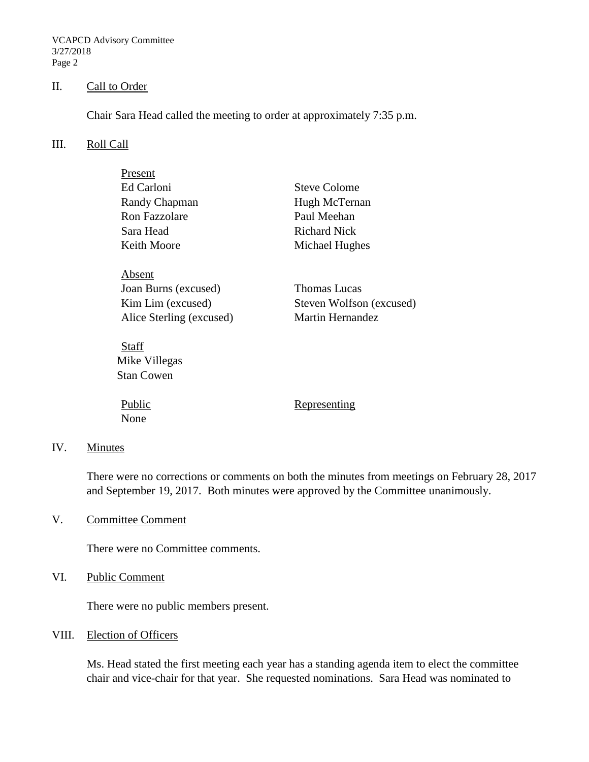VCAPCD Advisory Committee 3/27/2018 Page 2

## II. Call to Order

Chair Sara Head called the meeting to order at approximately 7:35 p.m.

#### III. Roll Call

| Present                  |                          |  |  |  |  |
|--------------------------|--------------------------|--|--|--|--|
| Ed Carloni               | Steve Colome             |  |  |  |  |
| Randy Chapman            | Hugh McTernan            |  |  |  |  |
| Ron Fazzolare            | Paul Meehan              |  |  |  |  |
| Sara Head                | Richard Nick             |  |  |  |  |
| Keith Moore              | Michael Hughes           |  |  |  |  |
| Absent                   |                          |  |  |  |  |
| Joan Burns (excused)     | <b>Thomas Lucas</b>      |  |  |  |  |
| Kim Lim (excused)        | Steven Wolfson (excused) |  |  |  |  |
| Alice Sterling (excused) | Martin Hernandez         |  |  |  |  |
| Stati                    |                          |  |  |  |  |

Mike Villegas Stan Cowen

None

Public Representing

#### IV. Minutes

There were no corrections or comments on both the minutes from meetings on February 28, 2017 and September 19, 2017. Both minutes were approved by the Committee unanimously.

V. Committee Comment

There were no Committee comments.

VI. Public Comment

There were no public members present.

## VIII. Election of Officers

Ms. Head stated the first meeting each year has a standing agenda item to elect the committee chair and vice-chair for that year. She requested nominations. Sara Head was nominated to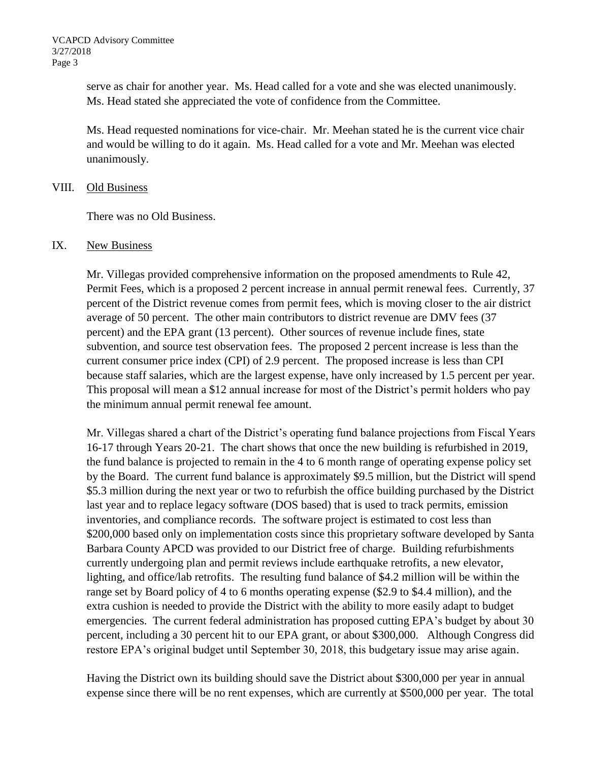serve as chair for another year. Ms. Head called for a vote and she was elected unanimously. Ms. Head stated she appreciated the vote of confidence from the Committee.

Ms. Head requested nominations for vice-chair. Mr. Meehan stated he is the current vice chair and would be willing to do it again. Ms. Head called for a vote and Mr. Meehan was elected unanimously.

## VIII. Old Business

There was no Old Business.

#### IX. New Business

Mr. Villegas provided comprehensive information on the proposed amendments to Rule 42, Permit Fees, which is a proposed 2 percent increase in annual permit renewal fees. Currently, 37 percent of the District revenue comes from permit fees, which is moving closer to the air district average of 50 percent. The other main contributors to district revenue are DMV fees (37 percent) and the EPA grant (13 percent). Other sources of revenue include fines, state subvention, and source test observation fees. The proposed 2 percent increase is less than the current consumer price index (CPI) of 2.9 percent. The proposed increase is less than CPI because staff salaries, which are the largest expense, have only increased by 1.5 percent per year. This proposal will mean a \$12 annual increase for most of the District's permit holders who pay the minimum annual permit renewal fee amount.

Mr. Villegas shared a chart of the District's operating fund balance projections from Fiscal Years 16-17 through Years 20-21. The chart shows that once the new building is refurbished in 2019, the fund balance is projected to remain in the 4 to 6 month range of operating expense policy set by the Board. The current fund balance is approximately \$9.5 million, but the District will spend \$5.3 million during the next year or two to refurbish the office building purchased by the District last year and to replace legacy software (DOS based) that is used to track permits, emission inventories, and compliance records. The software project is estimated to cost less than \$200,000 based only on implementation costs since this proprietary software developed by Santa Barbara County APCD was provided to our District free of charge. Building refurbishments currently undergoing plan and permit reviews include earthquake retrofits, a new elevator, lighting, and office/lab retrofits. The resulting fund balance of \$4.2 million will be within the range set by Board policy of 4 to 6 months operating expense (\$2.9 to \$4.4 million), and the extra cushion is needed to provide the District with the ability to more easily adapt to budget emergencies. The current federal administration has proposed cutting EPA's budget by about 30 percent, including a 30 percent hit to our EPA grant, or about \$300,000. Although Congress did restore EPA's original budget until September 30, 2018, this budgetary issue may arise again.

Having the District own its building should save the District about \$300,000 per year in annual expense since there will be no rent expenses, which are currently at \$500,000 per year. The total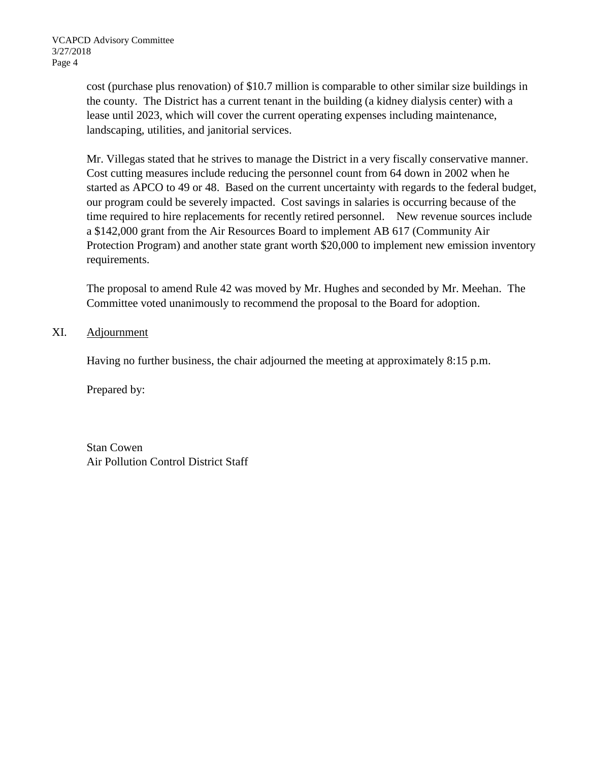cost (purchase plus renovation) of \$10.7 million is comparable to other similar size buildings in the county. The District has a current tenant in the building (a kidney dialysis center) with a lease until 2023, which will cover the current operating expenses including maintenance, landscaping, utilities, and janitorial services.

Mr. Villegas stated that he strives to manage the District in a very fiscally conservative manner. Cost cutting measures include reducing the personnel count from 64 down in 2002 when he started as APCO to 49 or 48. Based on the current uncertainty with regards to the federal budget, our program could be severely impacted. Cost savings in salaries is occurring because of the time required to hire replacements for recently retired personnel. New revenue sources include a \$142,000 grant from the Air Resources Board to implement AB 617 (Community Air Protection Program) and another state grant worth \$20,000 to implement new emission inventory requirements.

The proposal to amend Rule 42 was moved by Mr. Hughes and seconded by Mr. Meehan. The Committee voted unanimously to recommend the proposal to the Board for adoption.

# XI. Adjournment

Having no further business, the chair adjourned the meeting at approximately 8:15 p.m.

Prepared by:

Stan Cowen Air Pollution Control District Staff